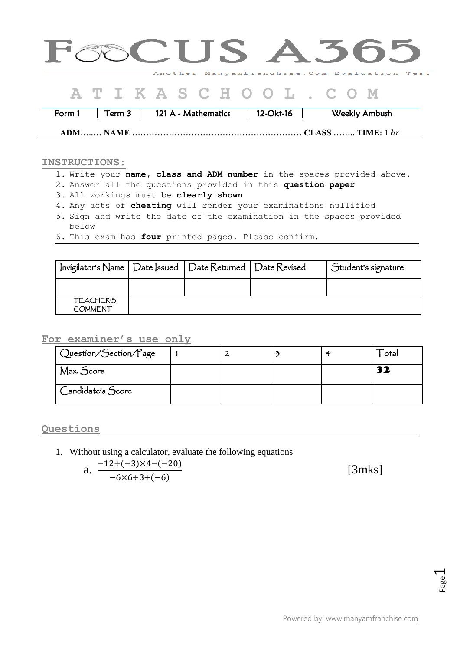| <b>GOCUS A365</b>                                                |                                     |
|------------------------------------------------------------------|-------------------------------------|
| Another Manyamfranchise. Com Evaluation Test<br>ATIKASCHOOL. COM |                                     |
| 121 A - Mathematics   12-Okt-16<br>Term 3 $\vert$<br>Form 1      | Weekly Ambush<br>$CLASS$ TIME: 1 hr |

## **INSTRUCTIONS:**

- 1. Write your **name, class and ADM number** in the spaces provided above.
- 2. Answer all the questions provided in this **question paper**
- 3. All workings must be **clearly shown**
- 4. Any acts of **cheating** will render your examinations nullified
- 5. Sign and write the date of the examination in the spaces provided below
- 6. This exam has **four** printed pages. Please confirm.

| Invigilator's Name   Date   ssued   Date Returned   Date Revised |  | Student's signature |
|------------------------------------------------------------------|--|---------------------|
|                                                                  |  |                     |
| <b>TEACHER'S</b><br><b>COMMENT</b>                               |  |                     |

## **For examiner's use only**

| Question/Section/Page |  |  | otal |
|-----------------------|--|--|------|
| Max. Score            |  |  | 32   |
| Candidate's Score     |  |  |      |

**Questions** 

1. Without using a calculator, evaluate the following equations

a. 
$$
\frac{-12 \div (-3) \times 4 - (-20)}{-6 \times 6 \div 3 + (-6)}
$$

[3mks]

Page  $\overline{\phantom{0}}$ 

Powered by: [www.manyamfranchise.com](http://www.manyamfranchise.com/)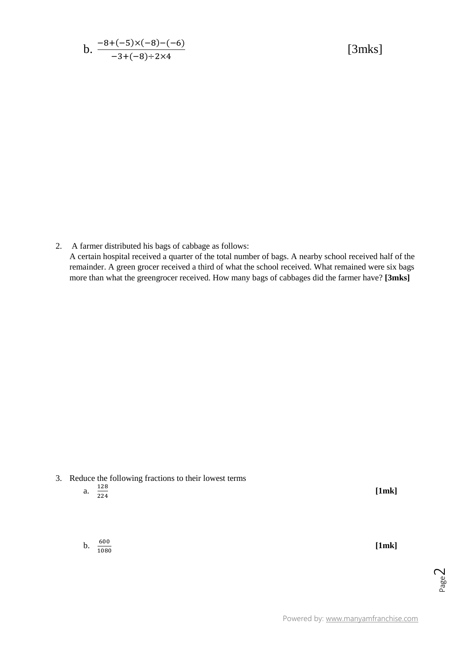b. 
$$
\frac{-8+(-5)\times(-8)-(-6)}{-3+(-8)\div2\times4}
$$

[3mks]

2. A farmer distributed his bags of cabbage as follows: A certain hospital received a quarter of the total number of bags. A nearby school received half of the remainder. A green grocer received a third of what the school received. What remained were six bags more than what the greengrocer received. How many bags of cabbages did the farmer have? **[3mks]**

- 3. Reduce the following fractions to their lowest terms
	- a.  $\frac{1}{2}$  $\overline{\mathbf{c}}$

**[1mk]**

b.  $\frac{6}{10}$ 

**[1mk]**

Page  $\overline{\curvearrowright}$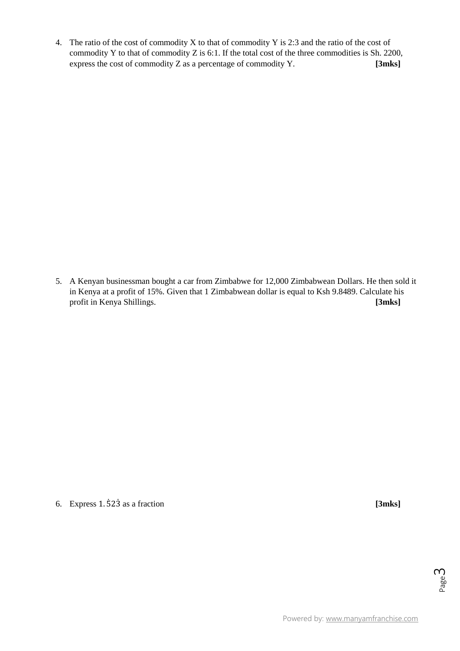4. The ratio of the cost of commodity X to that of commodity Y is 2:3 and the ratio of the cost of commodity Y to that of commodity Z is 6:1. If the total cost of the three commodities is Sh. 2200, express the cost of commodity Z as a percentage of commodity Y. **[3mks]**

5. A Kenyan businessman bought a car from Zimbabwe for 12,000 Zimbabwean Dollars. He then sold it in Kenya at a profit of 15%. Given that 1 Zimbabwean dollar is equal to Ksh 9.8489. Calculate his profit in Kenya Shillings. **[3mks]**

6. Express 1.523 as a fraction **[3mks]** 

Page ന